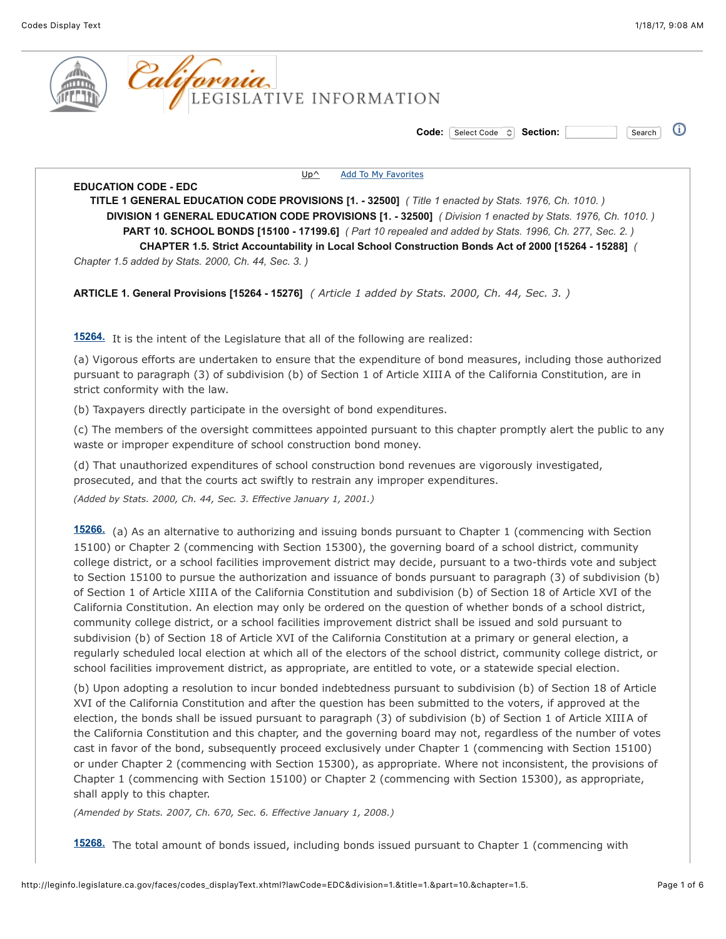

 $\Omega$ **Code:** Select Code **Section:** Section: Search

[Up^](http://leginfo.legislature.ca.gov/faces/codes_displayexpandedbranch.xhtml?lawCode=EDC&division=1.&title=1.&part=10.&chapter=1.5.&article=&goUp=Y) [Add To My Favorites](http://leginfo.legislature.ca.gov/faces/codes_displayText.xhtml?lawCode=EDC&division=1.&title=1.&part=10.&chapter=1.5.#)

**EDUCATION CODE - EDC TITLE 1 GENERAL EDUCATION CODE PROVISIONS [1. - 32500]** *( Title 1 enacted by Stats. 1976, Ch. 1010. )* **DIVISION 1 GENERAL EDUCATION CODE PROVISIONS [1. - 32500]** *( Division 1 enacted by Stats. 1976, Ch. 1010. )* **PART 10. SCHOOL BONDS [15100 - 17199.6]** *( Part 10 repealed and added by Stats. 1996, Ch. 277, Sec. 2. )* **CHAPTER 1.5. Strict Accountability in Local School Construction Bonds Act of 2000 [15264 - 15288]** *( Chapter 1.5 added by Stats. 2000, Ch. 44, Sec. 3. )*

**ARTICLE 1. General Provisions [15264 - 15276]** *( Article 1 added by Stats. 2000, Ch. 44, Sec. 3. )*

**[15264.](javascript:submitCodesValues()** It is the intent of the Legislature that all of the following are realized:

(a) Vigorous efforts are undertaken to ensure that the expenditure of bond measures, including those authorized pursuant to paragraph (3) of subdivision (b) of Section 1 of Article XIIIA of the California Constitution, are in strict conformity with the law.

(b) Taxpayers directly participate in the oversight of bond expenditures.

(c) The members of the oversight committees appointed pursuant to this chapter promptly alert the public to any waste or improper expenditure of school construction bond money.

(d) That unauthorized expenditures of school construction bond revenues are vigorously investigated, prosecuted, and that the courts act swiftly to restrain any improper expenditures.

*(Added by Stats. 2000, Ch. 44, Sec. 3. Effective January 1, 2001.)*

**[15266.](javascript:submitCodesValues()** (a) As an alternative to authorizing and issuing bonds pursuant to Chapter 1 (commencing with Section 15100) or Chapter 2 (commencing with Section 15300), the governing board of a school district, community college district, or a school facilities improvement district may decide, pursuant to a two-thirds vote and subject to Section 15100 to pursue the authorization and issuance of bonds pursuant to paragraph (3) of subdivision (b) of Section 1 of Article XIIIA of the California Constitution and subdivision (b) of Section 18 of Article XVI of the California Constitution. An election may only be ordered on the question of whether bonds of a school district, community college district, or a school facilities improvement district shall be issued and sold pursuant to subdivision (b) of Section 18 of Article XVI of the California Constitution at a primary or general election, a regularly scheduled local election at which all of the electors of the school district, community college district, or school facilities improvement district, as appropriate, are entitled to vote, or a statewide special election.

(b) Upon adopting a resolution to incur bonded indebtedness pursuant to subdivision (b) of Section 18 of Article XVI of the California Constitution and after the question has been submitted to the voters, if approved at the election, the bonds shall be issued pursuant to paragraph (3) of subdivision (b) of Section 1 of Article XIIIA of the California Constitution and this chapter, and the governing board may not, regardless of the number of votes cast in favor of the bond, subsequently proceed exclusively under Chapter 1 (commencing with Section 15100) or under Chapter 2 (commencing with Section 15300), as appropriate. Where not inconsistent, the provisions of Chapter 1 (commencing with Section 15100) or Chapter 2 (commencing with Section 15300), as appropriate, shall apply to this chapter.

*(Amended by Stats. 2007, Ch. 670, Sec. 6. Effective January 1, 2008.)*

**[15268.](javascript:submitCodesValues()** The total amount of bonds issued, including bonds issued pursuant to Chapter 1 (commencing with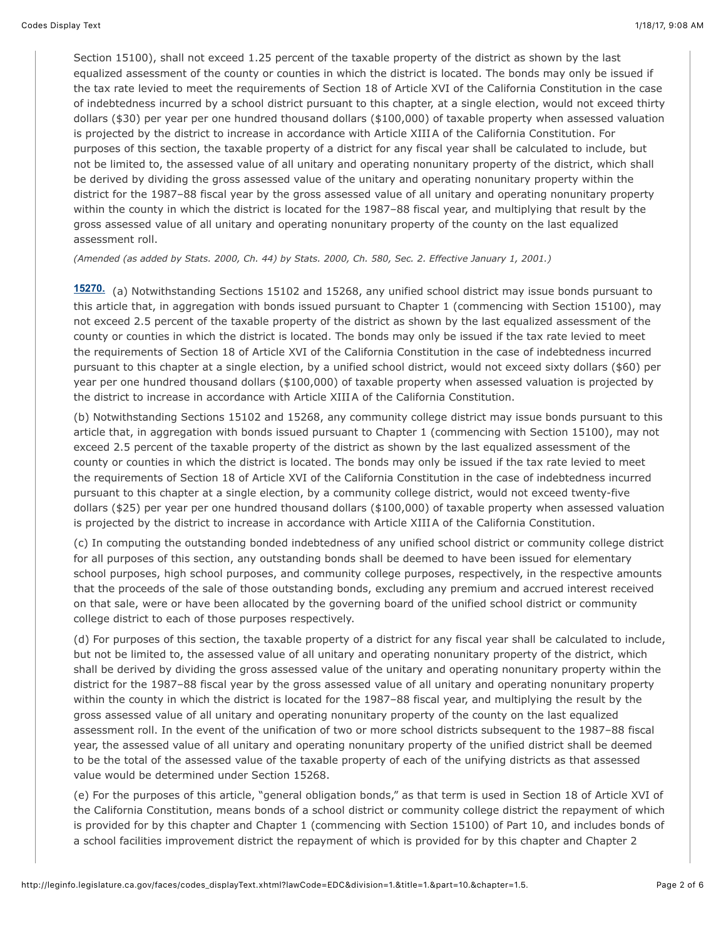Section 15100), shall not exceed 1.25 percent of the taxable property of the district as shown by the last equalized assessment of the county or counties in which the district is located. The bonds may only be issued if the tax rate levied to meet the requirements of Section 18 of Article XVI of the California Constitution in the case of indebtedness incurred by a school district pursuant to this chapter, at a single election, would not exceed thirty dollars (\$30) per year per one hundred thousand dollars (\$100,000) of taxable property when assessed valuation is projected by the district to increase in accordance with Article XIIIA of the California Constitution. For purposes of this section, the taxable property of a district for any fiscal year shall be calculated to include, but not be limited to, the assessed value of all unitary and operating nonunitary property of the district, which shall be derived by dividing the gross assessed value of the unitary and operating nonunitary property within the district for the 1987–88 fiscal year by the gross assessed value of all unitary and operating nonunitary property within the county in which the district is located for the 1987–88 fiscal year, and multiplying that result by the gross assessed value of all unitary and operating nonunitary property of the county on the last equalized assessment roll.

*(Amended (as added by Stats. 2000, Ch. 44) by Stats. 2000, Ch. 580, Sec. 2. Effective January 1, 2001.)*

**[15270.](javascript:submitCodesValues()** (a) Notwithstanding Sections 15102 and 15268, any unified school district may issue bonds pursuant to this article that, in aggregation with bonds issued pursuant to Chapter 1 (commencing with Section 15100), may not exceed 2.5 percent of the taxable property of the district as shown by the last equalized assessment of the county or counties in which the district is located. The bonds may only be issued if the tax rate levied to meet the requirements of Section 18 of Article XVI of the California Constitution in the case of indebtedness incurred pursuant to this chapter at a single election, by a unified school district, would not exceed sixty dollars (\$60) per year per one hundred thousand dollars (\$100,000) of taxable property when assessed valuation is projected by the district to increase in accordance with Article XIIIA of the California Constitution.

(b) Notwithstanding Sections 15102 and 15268, any community college district may issue bonds pursuant to this article that, in aggregation with bonds issued pursuant to Chapter 1 (commencing with Section 15100), may not exceed 2.5 percent of the taxable property of the district as shown by the last equalized assessment of the county or counties in which the district is located. The bonds may only be issued if the tax rate levied to meet the requirements of Section 18 of Article XVI of the California Constitution in the case of indebtedness incurred pursuant to this chapter at a single election, by a community college district, would not exceed twenty-five dollars (\$25) per year per one hundred thousand dollars (\$100,000) of taxable property when assessed valuation is projected by the district to increase in accordance with Article XIIIA of the California Constitution.

(c) In computing the outstanding bonded indebtedness of any unified school district or community college district for all purposes of this section, any outstanding bonds shall be deemed to have been issued for elementary school purposes, high school purposes, and community college purposes, respectively, in the respective amounts that the proceeds of the sale of those outstanding bonds, excluding any premium and accrued interest received on that sale, were or have been allocated by the governing board of the unified school district or community college district to each of those purposes respectively.

(d) For purposes of this section, the taxable property of a district for any fiscal year shall be calculated to include, but not be limited to, the assessed value of all unitary and operating nonunitary property of the district, which shall be derived by dividing the gross assessed value of the unitary and operating nonunitary property within the district for the 1987–88 fiscal year by the gross assessed value of all unitary and operating nonunitary property within the county in which the district is located for the 1987–88 fiscal year, and multiplying the result by the gross assessed value of all unitary and operating nonunitary property of the county on the last equalized assessment roll. In the event of the unification of two or more school districts subsequent to the 1987–88 fiscal year, the assessed value of all unitary and operating nonunitary property of the unified district shall be deemed to be the total of the assessed value of the taxable property of each of the unifying districts as that assessed value would be determined under Section 15268.

(e) For the purposes of this article, "general obligation bonds," as that term is used in Section 18 of Article XVI of the California Constitution, means bonds of a school district or community college district the repayment of which is provided for by this chapter and Chapter 1 (commencing with Section 15100) of Part 10, and includes bonds of a school facilities improvement district the repayment of which is provided for by this chapter and Chapter 2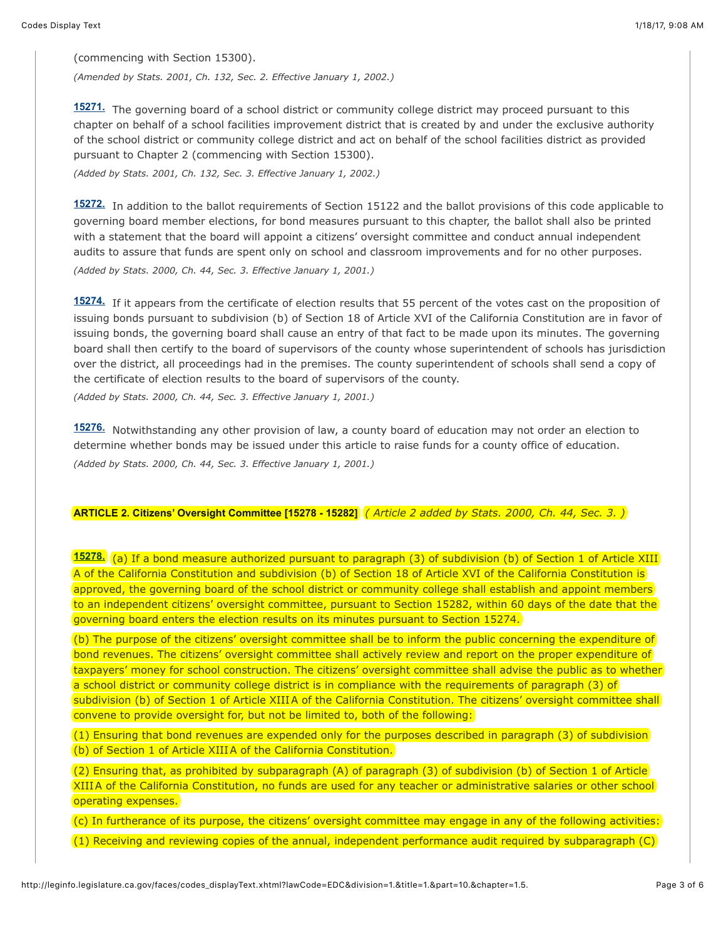(commencing with Section 15300).

*(Amended by Stats. 2001, Ch. 132, Sec. 2. Effective January 1, 2002.)*

**[15271.](javascript:submitCodesValues()** The governing board of a school district or community college district may proceed pursuant to this chapter on behalf of a school facilities improvement district that is created by and under the exclusive authority of the school district or community college district and act on behalf of the school facilities district as provided pursuant to Chapter 2 (commencing with Section 15300).

*(Added by Stats. 2001, Ch. 132, Sec. 3. Effective January 1, 2002.)*

**[15272.](javascript:submitCodesValues()** In addition to the ballot requirements of Section 15122 and the ballot provisions of this code applicable to governing board member elections, for bond measures pursuant to this chapter, the ballot shall also be printed with a statement that the board will appoint a citizens' oversight committee and conduct annual independent audits to assure that funds are spent only on school and classroom improvements and for no other purposes.

*(Added by Stats. 2000, Ch. 44, Sec. 3. Effective January 1, 2001.)*

**[15274.](javascript:submitCodesValues()** If it appears from the certificate of election results that 55 percent of the votes cast on the proposition of issuing bonds pursuant to subdivision (b) of Section 18 of Article XVI of the California Constitution are in favor of issuing bonds, the governing board shall cause an entry of that fact to be made upon its minutes. The governing board shall then certify to the board of supervisors of the county whose superintendent of schools has jurisdiction over the district, all proceedings had in the premises. The county superintendent of schools shall send a copy of the certificate of election results to the board of supervisors of the county.

*(Added by Stats. 2000, Ch. 44, Sec. 3. Effective January 1, 2001.)*

**[15276.](javascript:submitCodesValues()** Notwithstanding any other provision of law, a county board of education may not order an election to determine whether bonds may be issued under this article to raise funds for a county office of education. *(Added by Stats. 2000, Ch. 44, Sec. 3. Effective January 1, 2001.)*

**ARTICLE 2. Citizens' Oversight Committee [15278 - 15282]** *( Article 2 added by Stats. 2000, Ch. 44, Sec. 3. )*

**[15278.](javascript:submitCodesValues()** (a) If a bond measure authorized pursuant to paragraph (3) of subdivision (b) of Section 1 of Article XIII A of the California Constitution and subdivision (b) of Section 18 of Article XVI of the California Constitution is approved, the governing board of the school district or community college shall establish and appoint members to an independent citizens' oversight committee, pursuant to Section 15282, within 60 days of the date that the governing board enters the election results on its minutes pursuant to Section 15274.

(b) The purpose of the citizens' oversight committee shall be to inform the public concerning the expenditure of bond revenues. The citizens' oversight committee shall actively review and report on the proper expenditure of taxpayers' money for school construction. The citizens' oversight committee shall advise the public as to whether a school district or community college district is in compliance with the requirements of paragraph (3) of subdivision (b) of Section 1 of Article XIIIA of the California Constitution. The citizens' oversight committee shall convene to provide oversight for, but not be limited to, both of the following:

(1) Ensuring that bond revenues are expended only for the purposes described in paragraph (3) of subdivision (b) of Section 1 of Article XIIIA of the California Constitution.

(2) Ensuring that, as prohibited by subparagraph (A) of paragraph (3) of subdivision (b) of Section 1 of Article XIIIA of the California Constitution, no funds are used for any teacher or administrative salaries or other school operating expenses.

(c) In furtherance of its purpose, the citizens' oversight committee may engage in any of the following activities: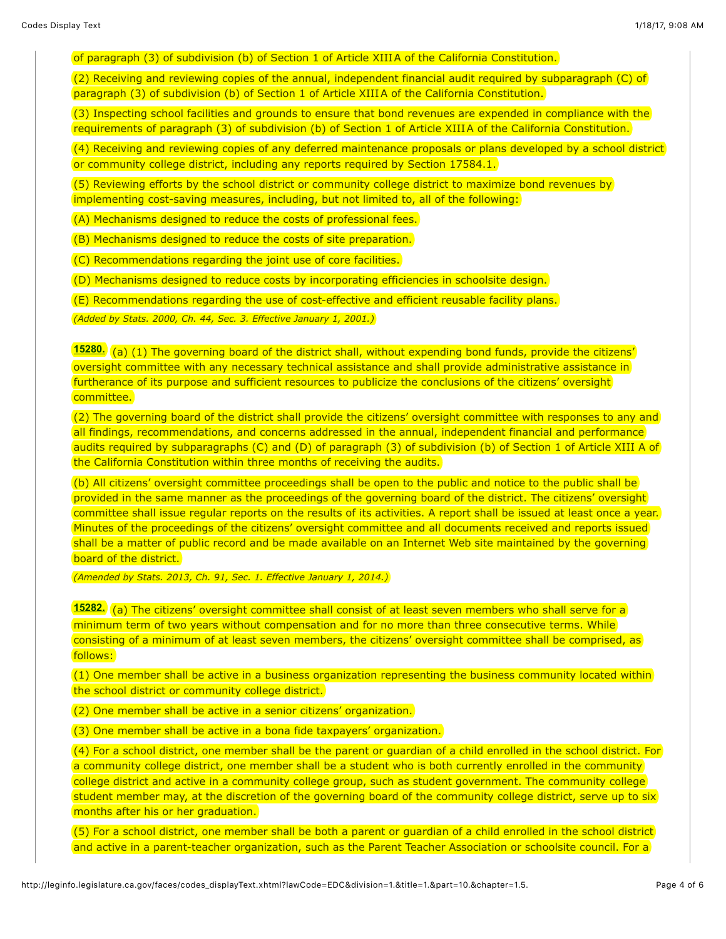of paragraph (3) of subdivision (b) of Section 1 of Article XIIIA of the California Constitution.

(2) Receiving and reviewing copies of the annual, independent financial audit required by subparagraph (C) of paragraph (3) of subdivision (b) of Section 1 of Article XIIIA of the California Constitution.

(3) Inspecting school facilities and grounds to ensure that bond revenues are expended in compliance with the requirements of paragraph (3) of subdivision (b) of Section 1 of Article XIIIA of the California Constitution.

(4) Receiving and reviewing copies of any deferred maintenance proposals or plans developed by a school district or community college district, including any reports required by Section 17584.1.

(5) Reviewing efforts by the school district or community college district to maximize bond revenues by implementing cost-saving measures, including, but not limited to, all of the following:

(A) Mechanisms designed to reduce the costs of professional fees.

(B) Mechanisms designed to reduce the costs of site preparation.

(C) Recommendations regarding the joint use of core facilities.

(D) Mechanisms designed to reduce costs by incorporating efficiencies in schoolsite design.

(E) Recommendations regarding the use of cost-effective and efficient reusable facility plans.

*(Added by Stats. 2000, Ch. 44, Sec. 3. Effective January 1, 2001.)*

**[15280.](javascript:submitCodesValues()** (a) (1) The governing board of the district shall, without expending bond funds, provide the citizens' oversight committee with any necessary technical assistance and shall provide administrative assistance in furtherance of its purpose and sufficient resources to publicize the conclusions of the citizens' oversight committee.

(2) The governing board of the district shall provide the citizens' oversight committee with responses to any and all findings, recommendations, and concerns addressed in the annual, independent financial and performance audits required by subparagraphs (C) and (D) of paragraph (3) of subdivision (b) of Section 1 of Article XIII A of the California Constitution within three months of receiving the audits.

(b) All citizens' oversight committee proceedings shall be open to the public and notice to the public shall be provided in the same manner as the proceedings of the governing board of the district. The citizens' oversight committee shall issue regular reports on the results of its activities. A report shall be issued at least once a year. Minutes of the proceedings of the citizens' oversight committee and all documents received and reports issued shall be a matter of public record and be made available on an Internet Web site maintained by the governing board of the district.

*(Amended by Stats. 2013, Ch. 91, Sec. 1. Effective January 1, 2014.)*

**[15282.](javascript:submitCodesValues()** (a) The citizens' oversight committee shall consist of at least seven members who shall serve for a minimum term of two years without compensation and for no more than three consecutive terms. While consisting of a minimum of at least seven members, the citizens' oversight committee shall be comprised, as follows:

(1) One member shall be active in a business organization representing the business community located within the school district or community college district.

(2) One member shall be active in a senior citizens' organization.

(3) One member shall be active in a bona fide taxpayers' organization.

(4) For a school district, one member shall be the parent or guardian of a child enrolled in the school district. For a community college district, one member shall be a student who is both currently enrolled in the community college district and active in a community college group, such as student government. The community college student member may, at the discretion of the governing board of the community college district, serve up to six months after his or her graduation.

(5) For a school district, one member shall be both a parent or guardian of a child enrolled in the school district and active in a parent-teacher organization, such as the Parent Teacher Association or schoolsite council. For a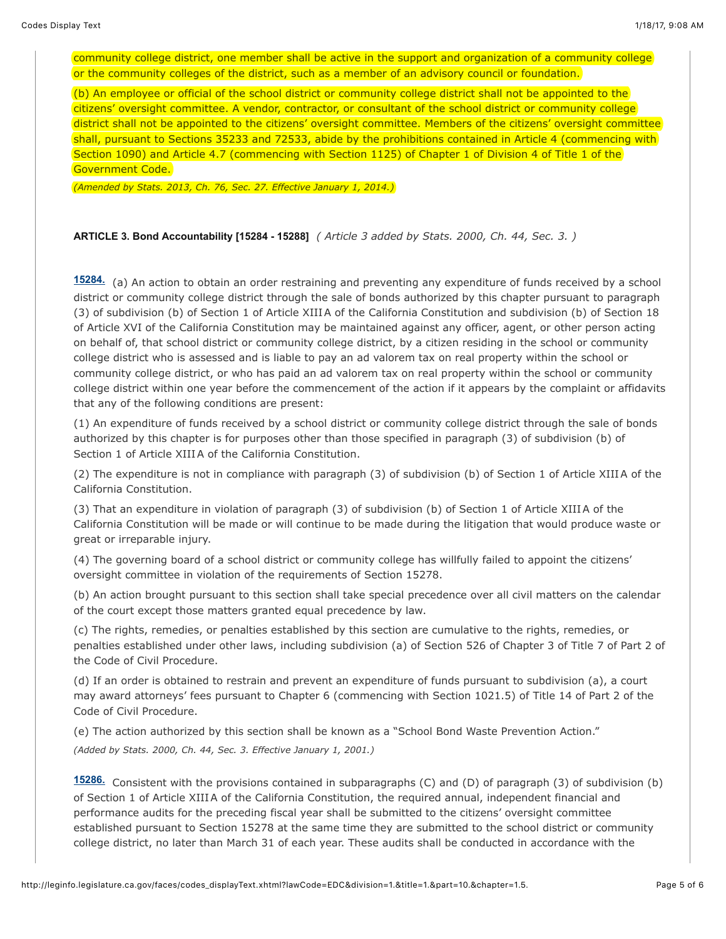community college district, one member shall be active in the support and organization of a community college or the community colleges of the district, such as a member of an advisory council or foundation.

(b) An employee or official of the school district or community college district shall not be appointed to the citizens' oversight committee. A vendor, contractor, or consultant of the school district or community college district shall not be appointed to the citizens' oversight committee. Members of the citizens' oversight committee shall, pursuant to Sections 35233 and 72533, abide by the prohibitions contained in Article 4 (commencing with Section 1090) and Article 4.7 (commencing with Section 1125) of Chapter 1 of Division 4 of Title 1 of the Government Code.

*(Amended by Stats. 2013, Ch. 76, Sec. 27. Effective January 1, 2014.)*

**ARTICLE 3. Bond Accountability [15284 - 15288]** *( Article 3 added by Stats. 2000, Ch. 44, Sec. 3. )*

**[15284.](javascript:submitCodesValues()** (a) An action to obtain an order restraining and preventing any expenditure of funds received by a school district or community college district through the sale of bonds authorized by this chapter pursuant to paragraph (3) of subdivision (b) of Section 1 of Article XIIIA of the California Constitution and subdivision (b) of Section 18 of Article XVI of the California Constitution may be maintained against any officer, agent, or other person acting on behalf of, that school district or community college district, by a citizen residing in the school or community college district who is assessed and is liable to pay an ad valorem tax on real property within the school or community college district, or who has paid an ad valorem tax on real property within the school or community college district within one year before the commencement of the action if it appears by the complaint or affidavits that any of the following conditions are present:

(1) An expenditure of funds received by a school district or community college district through the sale of bonds authorized by this chapter is for purposes other than those specified in paragraph (3) of subdivision (b) of Section 1 of Article XIIIA of the California Constitution.

(2) The expenditure is not in compliance with paragraph (3) of subdivision (b) of Section 1 of Article XIIIA of the California Constitution.

(3) That an expenditure in violation of paragraph (3) of subdivision (b) of Section 1 of Article XIIIA of the California Constitution will be made or will continue to be made during the litigation that would produce waste or great or irreparable injury.

(4) The governing board of a school district or community college has willfully failed to appoint the citizens' oversight committee in violation of the requirements of Section 15278.

(b) An action brought pursuant to this section shall take special precedence over all civil matters on the calendar of the court except those matters granted equal precedence by law.

(c) The rights, remedies, or penalties established by this section are cumulative to the rights, remedies, or penalties established under other laws, including subdivision (a) of Section 526 of Chapter 3 of Title 7 of Part 2 of the Code of Civil Procedure.

(d) If an order is obtained to restrain and prevent an expenditure of funds pursuant to subdivision (a), a court may award attorneys' fees pursuant to Chapter 6 (commencing with Section 1021.5) of Title 14 of Part 2 of the Code of Civil Procedure.

(e) The action authorized by this section shall be known as a "School Bond Waste Prevention Action." *(Added by Stats. 2000, Ch. 44, Sec. 3. Effective January 1, 2001.)*

**[15286.](javascript:submitCodesValues()** Consistent with the provisions contained in subparagraphs (C) and (D) of paragraph (3) of subdivision (b) of Section 1 of Article XIIIA of the California Constitution, the required annual, independent financial and performance audits for the preceding fiscal year shall be submitted to the citizens' oversight committee established pursuant to Section 15278 at the same time they are submitted to the school district or community college district, no later than March 31 of each year. These audits shall be conducted in accordance with the